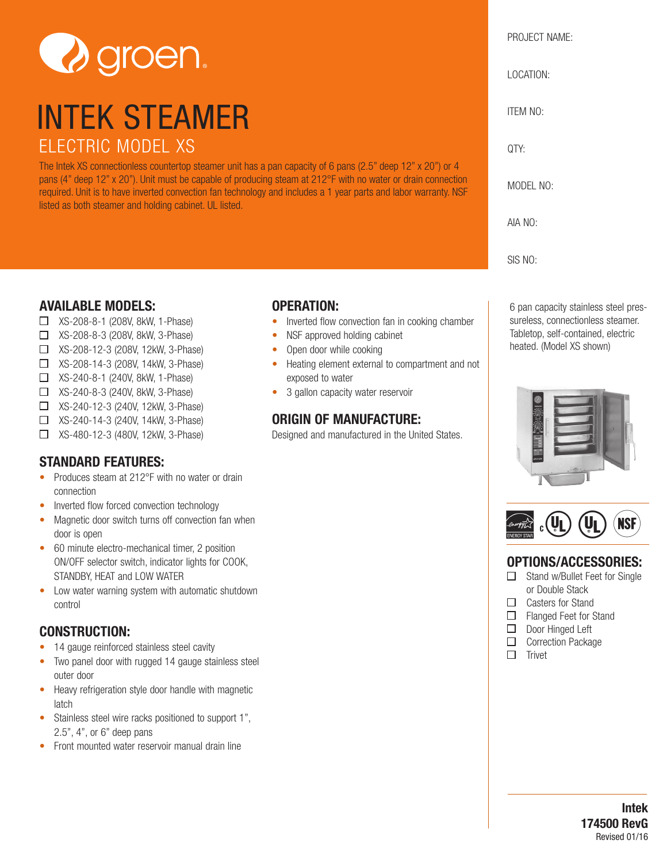

# INTEK STEAMER ELECTRIC MODEL XS

The Intek XS connectionless countertop steamer unit has a pan capacity of 6 pans (2.5" deep 12" x 20") or 4 pans (4" deep 12" x 20"). Unit must be capable of producing steam at 212°F with no water or drain connection required. Unit is to have inverted convection fan technology and includes a 1 year parts and labor warranty. NSF listed as both steamer and holding cabinet. UL listed.

#### **AVAILABLE MODELS:**

- XS-208-8-1 (208V, 8kW, 1-Phase)
- XS-208-8-3 (208V, 8kW, 3-Phase)
- XS-208-12-3 (208V, 12kW, 3-Phase)
- XS-208-14-3 (208V, 14kW, 3-Phase)
- XS-240-8-1 (240V, 8kW, 1-Phase)
- XS-240-8-3 (240V, 8kW, 3-Phase)
- XS-240-12-3 (240V, 12kW, 3-Phase)
- XS-240-14-3 (240V, 14kW, 3-Phase)
- XS-480-12-3 (480V, 12kW, 3-Phase)

## **STANDARD FEATURES:**

- Produces steam at 212°F with no water or drain connection
- Inverted flow forced convection technology
- Magnetic door switch turns off convection fan when door is open
- 60 minute electro-mechanical timer, 2 position ON/OFF selector switch, indicator lights for COOK, STANDBY, HEAT and LOW WATER
- Low water warning system with automatic shutdown control

### **CONSTRUCTION:**

- 14 gauge reinforced stainless steel cavity
- Two panel door with rugged 14 gauge stainless steel outer door
- Heavy refrigeration style door handle with magnetic latch
- Stainless steel wire racks positioned to support 1", 2.5", 4", or 6" deep pans
- Front mounted water reservoir manual drain line

### **OPERATION:**

- Inverted flow convection fan in cooking chamber
- NSF approved holding cabinet
- Open door while cooking
- Heating element external to compartment and not exposed to water
- 3 gallon capacity water reservoir

### **ORIGIN OF MANUFACTURE:**

Designed and manufactured in the United States.



6 pan capacity stainless steel pressureless, connectionless steamer. Tabletop, self-contained, electric heated. (Model XS shown)





### **OPTIONS/ACCESSORIES:**

- □ Stand w/Bullet Feet for Single or Double Stack
- □ Casters for Stand
- □ Flanged Feet for Stand
- Door Hinged Left
- **Correction Package**
- $\Box$  Trivet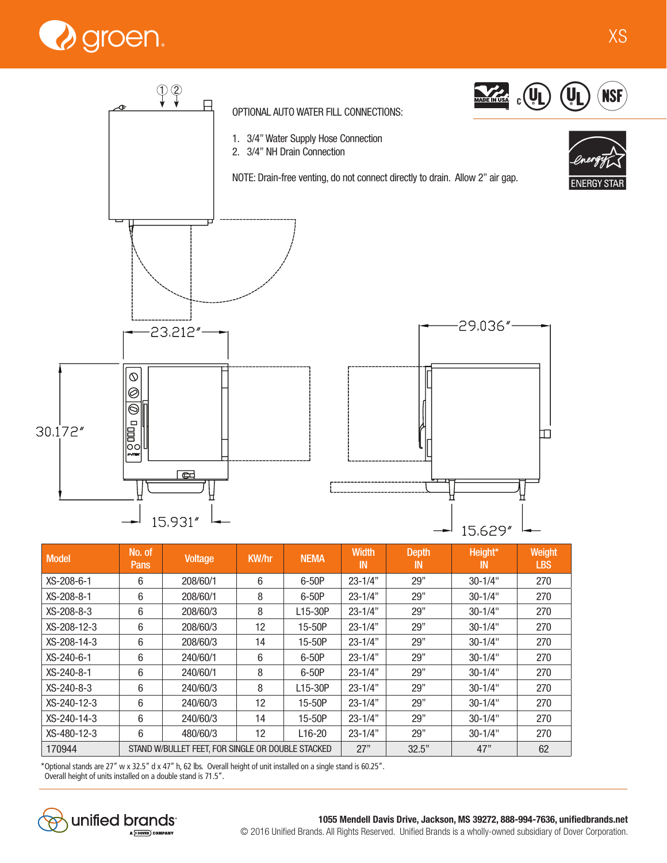



| <b>Model</b>  | No. of<br><b>Pans</b>                             | <b>Voltage</b> | <b>KW/hr</b> | <b>NEMA</b>          | <b>Width</b><br>IN | <b>Depth</b><br>IN | Height*<br>IN | Weight<br><b>LBS</b> |
|---------------|---------------------------------------------------|----------------|--------------|----------------------|--------------------|--------------------|---------------|----------------------|
| XS-208-6-1    | 6                                                 | 208/60/1       | 6            | 6-50P                | $23 - 1/4"$        | 29"                | $30 - 1/4$ "  | 270                  |
| XS-208-8-1    | 6                                                 | 208/60/1       | 8            | $6-50P$              | $23 - 1/4"$        | 29"                | $30 - 1/4"$   | 270                  |
| XS-208-8-3    | 6                                                 | 208/60/3       | 8            | L15-30P              | $23 - 1/4"$        | 29"                | $30 - 1/4"$   | 270                  |
| XS-208-12-3   | 6                                                 | 208/60/3       | 12           | 15-50P               | $23 - 1/4"$        | 29"                | $30 - 1/4"$   | 270                  |
| XS-208-14-3   | 6                                                 | 208/60/3       | 14           | 15-50P               | $23 - 1/4"$        | 29"                | $30 - 1/4"$   | 270                  |
| $XS-240-6-1$  | 6                                                 | 240/60/1       | 6            | 6-50P                | $23 - 1/4"$        | 29"                | $30 - 1/4"$   | 270                  |
| $XS-240-8-1$  | 6                                                 | 240/60/1       | 8            | 6-50P                | $23 - 1/4"$        | 29"                | $30 - 1/4$ "  | 270                  |
| XS-240-8-3    | 6                                                 | 240/60/3       | 8            | L <sub>15</sub> -30P | $23 - 1/4"$        | 29"                | $30 - 1/4"$   | 270                  |
| $XS-240-12-3$ | 6                                                 | 240/60/3       | 12           | 15-50P               | $23 - 1/4"$        | 29"                | $30 - 1/4$ "  | 270                  |
| XS-240-14-3   | 6                                                 | 240/60/3       | 14           | 15-50P               | $23 - 1/4"$        | 29"                | $30 - 1/4$ "  | 270                  |
| XS-480-12-3   | 6                                                 | 480/60/3       | 12           | L <sub>16</sub> -20  | $23 - 1/4"$        | 29"                | $30 - 1/4$ "  | 270                  |
| 170944        | STAND W/BULLET FEET, FOR SINGLE OR DOUBLE STACKED |                |              |                      | 27"                | 32.5"              | 47"           | 62                   |

\*Optional stands are 27" w x 32.5" d x 47" h, 62 lbs. Overall height of unit installed on a single stand is 60.25".

15.931"

Overall height of units installed on a double stand is 71.5".



15,629"